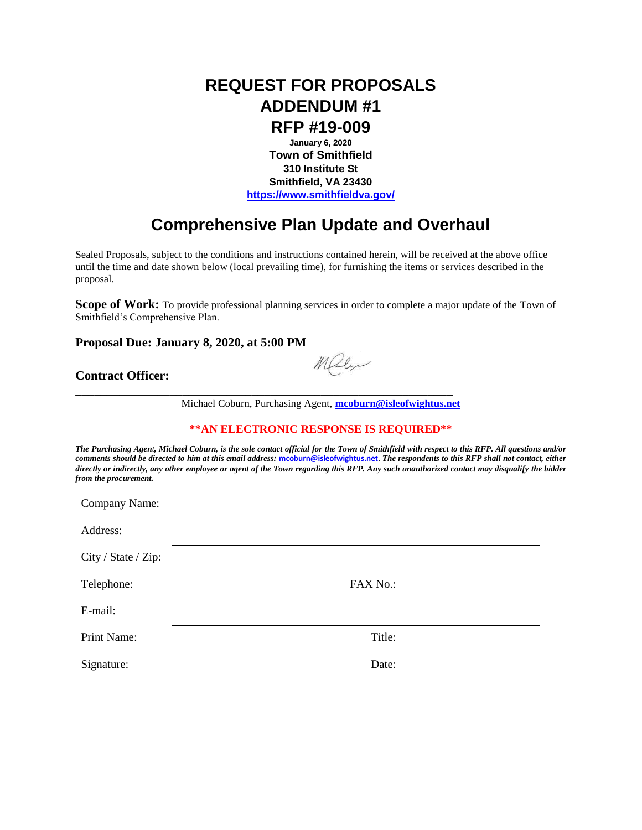## **REQUEST FOR PROPOSALS ADDENDUM #1**

**RFP #19-009**

**January 6, 2020 Town of Smithfield 310 Institute St Smithfield, VA 23430 <https://www.smithfieldva.gov/>**

## **Comprehensive Plan Update and Overhaul**

Sealed Proposals, subject to the conditions and instructions contained herein, will be received at the above office until the time and date shown below (local prevailing time), for furnishing the items or services described in the proposal.

**Scope of Work:** To provide professional planning services in order to complete a major update of the Town of Smithfield's Comprehensive Plan.

**Proposal Due: January 8, 2020, at 5:00 PM**

## **Contract Officer:**

Maly

Michael Coburn, Purchasing Agent, **[mcoburn@isleofwightus.net](mailto:mcoburn@isleofwightus.net)**

\_\_\_\_\_\_\_\_\_\_\_\_\_\_\_\_\_\_\_\_\_\_\_\_\_\_\_\_\_\_\_\_\_\_\_\_\_\_\_\_\_\_\_\_\_\_\_\_\_\_\_\_\_\_\_\_\_\_\_\_

## **\*\*AN ELECTRONIC RESPONSE IS REQUIRED\*\***

*The Purchasing Agent, Michael Coburn, is the sole contact official for the Town of Smithfield with respect to this RFP. All questions and/or comments should be directed to him at this email address:* **[mcoburn@isleofwightus.net](mailto:mcoburn@isleofwightus.net)**. *The respondents to this RFP shall not contact, either directly or indirectly, any other employee or agent of the Town regarding this RFP. Any such unauthorized contact may disqualify the bidder from the procurement.*

| Company Name:       |          |  |
|---------------------|----------|--|
| Address:            |          |  |
| City / State / Zip: |          |  |
| Telephone:          | FAX No.: |  |
| E-mail:             |          |  |
| Print Name:         | Title:   |  |
| Signature:          | Date:    |  |